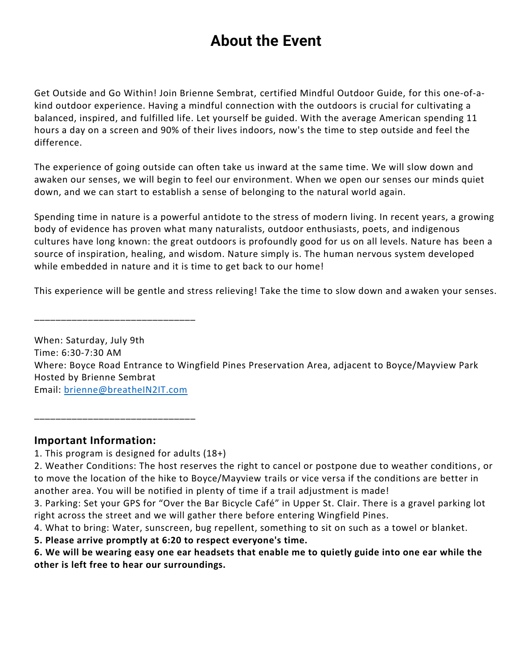# **About the Event**

Get Outside and Go Within! Join Brienne Sembrat, certified Mindful Outdoor Guide, for this one-of-akind outdoor experience. Having a mindful connection with the outdoors is crucial for cultivating a balanced, inspired, and fulfilled life. Let yourself be guided. With the average American spending 11 hours a day on a screen and 90% of their lives indoors, now's the time to step outside and feel the difference.

The experience of going outside can often take us inward at the same time. We will slow down and awaken our senses, we will begin to feel our environment. When we open our senses our minds quiet down, and we can start to establish a sense of belonging to the natural world again.

Spending time in nature is a powerful antidote to the stress of modern living. In recent years, a growing body of evidence has proven what many naturalists, outdoor enthusiasts, poets, and indigenous cultures have long known: the great outdoors is profoundly good for us on all levels. Nature has been a source of inspiration, healing, and wisdom. Nature simply is. The human nervous system developed while embedded in nature and it is time to get back to our home!

This experience will be gentle and stress relieving! Take the time to slow down and awaken your senses.

When: Saturday, July 9th Time: 6:30-7:30 AM Where: Boyce Road Entrance to Wingfield Pines Preservation Area, adjacent to Boyce/Mayview Park Hosted by Brienne Sembrat Email: [brienne@breatheIN2IT.com](mailto:brienne@breatheIN2IT.com)

### **Important Information:**

1. This program is designed for adults (18+)

\_\_\_\_\_\_\_\_\_\_\_\_\_\_\_\_\_\_\_\_\_\_\_\_\_\_\_\_\_\_

\_\_\_\_\_\_\_\_\_\_\_\_\_\_\_\_\_\_\_\_\_\_\_\_\_\_\_\_\_\_

- 2. Weather Conditions: The host reserves the right to cancel or postpone due to weather conditions, or to move the location of the hike to Boyce/Mayview trails or vice versa if the conditions are better in another area. You will be notified in plenty of time if a trail adjustment is made!
- 3. Parking: Set your GPS for "Over the Bar Bicycle Café" in Upper St. Clair. There is a gravel parking lot right across the street and we will gather there before entering Wingfield Pines.
- 4. What to bring: Water, sunscreen, bug repellent, something to sit on such as a towel or blanket.
- **5. Please arrive promptly at 6:20 to respect everyone's time.**

**6. We will be wearing easy one ear headsets that enable me to quietly guide into one ear while the other is left free to hear our surroundings.**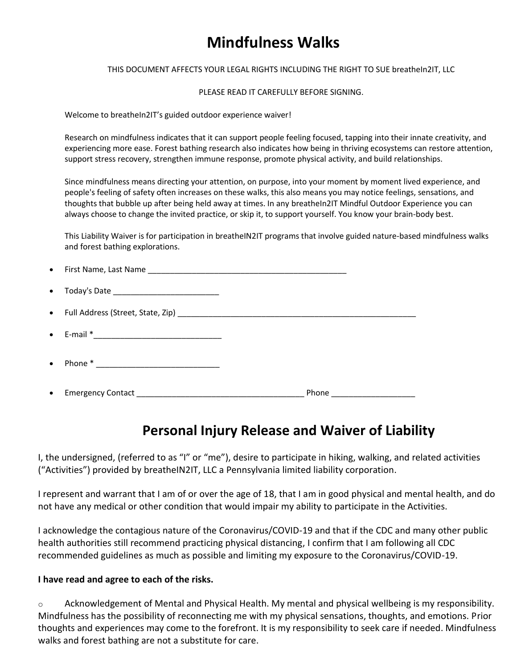# **Mindfulness Walks**

THIS DOCUMENT AFFECTS YOUR LEGAL RIGHTS INCLUDING THE RIGHT TO SUE breatheIn2IT, LLC

PLEASE READ IT CAREFULLY BEFORE SIGNING.

Welcome to breatheIn2IT's guided outdoor experience waiver!

Research on mindfulness indicates that it can support people feeling focused, tapping into their innate creativity, and experiencing more ease. Forest bathing research also indicates how being in thriving ecosystems can restore attention, support stress recovery, strengthen immune response, promote physical activity, and build relationships.

Since mindfulness means directing your attention, on purpose, into your moment by moment lived experience, and people's feeling of safety often increases on these walks, this also means you may notice feelings, sensations, and thoughts that bubble up after being held away at times. In any breatheIn2IT Mindful Outdoor Experience you can always choose to change the invited practice, or skip it, to support yourself. You know your brain-body best.

This Liability Waiver is for participation in breatheIN2IT programs that involve guided nature-based mindfulness walks and forest bathing explorations.

| $\bullet$ | Today's Date _________________________________ |                                |
|-----------|------------------------------------------------|--------------------------------|
|           |                                                |                                |
| $\bullet$ |                                                |                                |
| $\bullet$ |                                                |                                |
| $\bullet$ |                                                | Phone ________________________ |

## **Personal Injury Release and Waiver of Liability**

I, the undersigned, (referred to as "I" or "me"), desire to participate in hiking, walking, and related activities ("Activities") provided by breatheIN2IT, LLC a Pennsylvania limited liability corporation.

I represent and warrant that I am of or over the age of 18, that I am in good physical and mental health, and do not have any medical or other condition that would impair my ability to participate in the Activities.

I acknowledge the contagious nature of the Coronavirus/COVID-19 and that if the CDC and many other public health authorities still recommend practicing physical distancing, I confirm that I am following all CDC recommended guidelines as much as possible and limiting my exposure to the Coronavirus/COVID-19.

#### **I have read and agree to each of the risks.**

 $\circ$  Acknowledgement of Mental and Physical Health. My mental and physical wellbeing is my responsibility. Mindfulness has the possibility of reconnecting me with my physical sensations, thoughts, and emotions. Prior thoughts and experiences may come to the forefront. It is my responsibility to seek care if needed. Mindfulness walks and forest bathing are not a substitute for care.